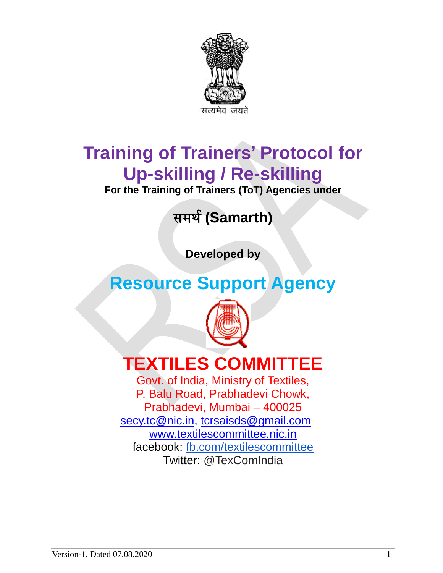

# **Training of Trainers' Protocol for Up-skilling / Re-skilling**

**For the Training of Trainers (ToT) Agencies under**

# समर्थ**(Samarth)**

**Developed by**

# **Resource Support Agency**



# **TEXTILES COMMITTEE**

Govt. of India, Ministry of Textiles, P. Balu Road, Prabhadevi Chowk, Prabhadevi, Mumbai – 400025 [secy.tc@nic.in,](mailto:secy.tc@nic.in) [tcrsaisds@gmail.com](mailto:tcrsaisds@gmail.com) [www.textilescommittee.nic.in](http://www.textilescommittee.nic.in/) facebook: [fb.com/textilescommittee](http://fb.com/) Twitter: @TexComIndia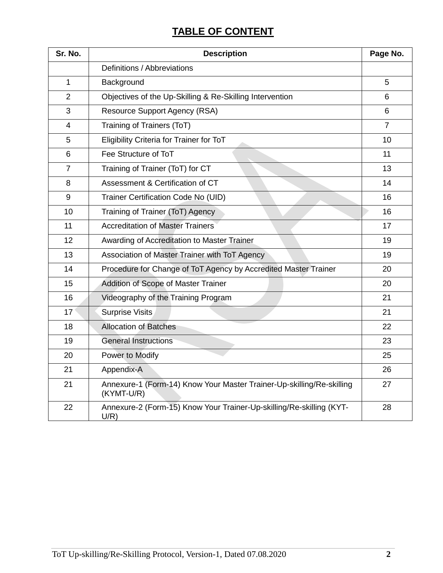# **TABLE OF CONTENT**

| Sr. No.        | <b>Description</b>                                                                  | Page No.       |
|----------------|-------------------------------------------------------------------------------------|----------------|
|                | Definitions / Abbreviations                                                         |                |
| 1              | Background                                                                          | 5              |
| $\overline{2}$ | Objectives of the Up-Skilling & Re-Skilling Intervention                            | 6              |
| 3              | <b>Resource Support Agency (RSA)</b>                                                | 6              |
| 4              | Training of Trainers (ToT)                                                          | $\overline{7}$ |
| 5              | Eligibility Criteria for Trainer for ToT                                            | 10             |
| 6              | Fee Structure of ToT                                                                | 11             |
| $\overline{7}$ | Training of Trainer (ToT) for CT                                                    | 13             |
| 8              | Assessment & Certification of CT                                                    | 14             |
| 9              | Trainer Certification Code No (UID)                                                 | 16             |
| 10             | Training of Trainer (ToT) Agency                                                    | 16             |
| 11             | <b>Accreditation of Master Trainers</b>                                             | 17             |
| 12             | Awarding of Accreditation to Master Trainer                                         | 19             |
| 13             | Association of Master Trainer with ToT Agency                                       | 19             |
| 14             | Procedure for Change of ToT Agency by Accredited Master Trainer                     | 20             |
| 15             | Addition of Scope of Master Trainer                                                 | 20             |
| 16             | Videography of the Training Program                                                 | 21             |
| 17             | <b>Surprise Visits</b>                                                              | 21             |
| 18             | <b>Allocation of Batches</b>                                                        | 22             |
| 19             | <b>General Instructions</b>                                                         | 23             |
| 20             | Power to Modify                                                                     | 25             |
| 21             | Appendix-A                                                                          | 26             |
| 21             | Annexure-1 (Form-14) Know Your Master Trainer-Up-skilling/Re-skilling<br>(KYMT-U/R) | 27             |
| 22             | Annexure-2 (Form-15) Know Your Trainer-Up-skilling/Re-skilling (KYT-<br>U/R)        | 28             |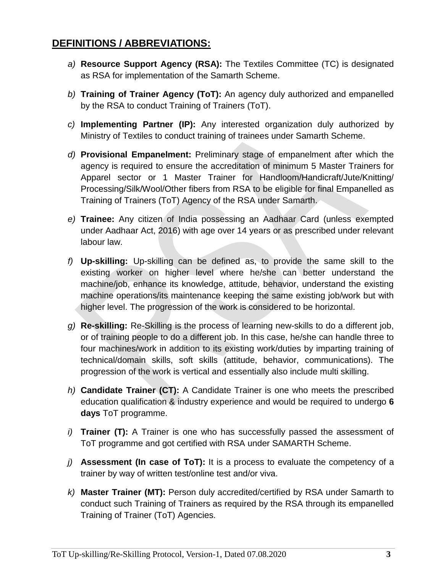# **DEFINITIONS / ABBREVIATIONS:**

- *a)* **Resource Support Agency (RSA):** The Textiles Committee (TC) is designated as RSA for implementation of the Samarth Scheme.
- *b)* **Training of Trainer Agency (ToT):** An agency duly authorized and empanelled by the RSA to conduct Training of Trainers (ToT).
- *c)* **Implementing Partner (IP):** Any interested organization duly authorized by Ministry of Textiles to conduct training of trainees under Samarth Scheme.
- *d)* **Provisional Empanelment:** Preliminary stage of empanelment after which the agency is required to ensure the accreditation of minimum 5 Master Trainers for Apparel sector or 1 Master Trainer for Handloom/Handicraft/Jute/Knitting/ Processing/Silk/Wool/Other fibers from RSA to be eligible for final Empanelled as Training of Trainers (ToT) Agency of the RSA under Samarth.
- *e)* **Trainee:** Any citizen of India possessing an Aadhaar Card (unless exempted under Aadhaar Act, 2016) with age over 14 years or as prescribed under relevant labour law.
- *f)* **Up-skilling:** Up-skilling can be defined as, to provide the same skill to the existing worker on higher level where he/she can better understand the machine/job, enhance its knowledge, attitude, behavior, understand the existing machine operations/its maintenance keeping the same existing job/work but with higher level. The progression of the work is considered to be horizontal.
- *g)* **Re-skilling:** Re-Skilling is the process of learning new-skills to do a different job, or of training people to do a different job. In this case, he/she can handle three to four machines/work in addition to its existing work/duties by imparting training of technical/domain skills, soft skills (attitude, behavior, communications). The progression of the work is vertical and essentially also include multi skilling.
- *h)* **Candidate Trainer (CT):** A Candidate Trainer is one who meets the prescribed education qualification & industry experience and would be required to undergo **6 days** ToT programme.
- *i)* **Trainer (T):** A Trainer is one who has successfully passed the assessment of ToT programme and got certified with RSA under SAMARTH Scheme.
- *j)* **Assessment (In case of ToT):** It is a process to evaluate the competency of a trainer by way of written test/online test and/or viva.
- *k)* **Master Trainer (MT):** Person duly accredited/certified by RSA under Samarth to conduct such Training of Trainers as required by the RSA through its empanelled Training of Trainer (ToT) Agencies.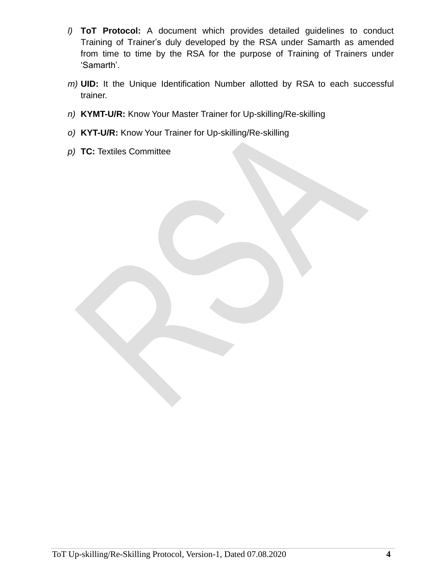- *l)* **ToT Protocol:** A document which provides detailed guidelines to conduct Training of Trainer's duly developed by the RSA under Samarth as amended from time to time by the RSA for the purpose of Training of Trainers under 'Samarth'.
- *m)* **UID:** It the Unique Identification Number allotted by RSA to each successful trainer.
- *n)* **KYMT-U/R:** Know Your Master Trainer for Up-skilling/Re-skilling
- *o)* **KYT-U/R:** Know Your Trainer for Up-skilling/Re-skilling
- *p)* **TC:** Textiles Committee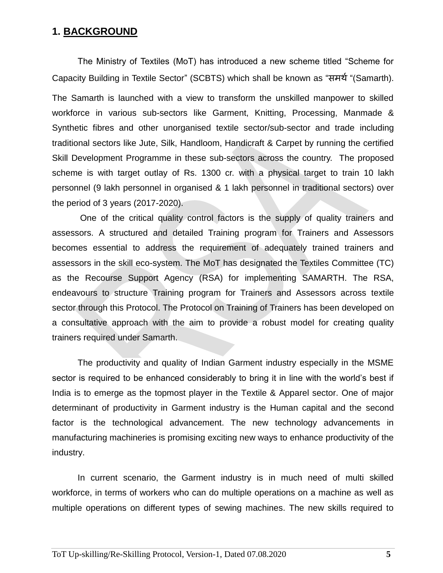## **1. BACKGROUND**

The Ministry of Textiles (MoT) has introduced a new scheme titled "Scheme for Capacity Building in Textile Sector" (SCBTS) which shall be known as "समर्थ"(Samarth). The Samarth is launched with a view to transform the unskilled manpower to skilled workforce in various sub-sectors like Garment, Knitting, Processing, Manmade & Synthetic fibres and other unorganised textile sector/sub-sector and trade including traditional sectors like Jute, Silk, Handloom, Handicraft & Carpet by running the certified Skill Development Programme in these sub-sectors across the country. The proposed scheme is with target outlay of Rs. 1300 cr. with a physical target to train 10 lakh personnel (9 lakh personnel in organised & 1 lakh personnel in traditional sectors) over the period of 3 years (2017-2020).

One of the critical quality control factors is the supply of quality trainers and assessors. A structured and detailed Training program for Trainers and Assessors becomes essential to address the requirement of adequately trained trainers and assessors in the skill eco-system. The MoT has designated the Textiles Committee (TC) as the Recourse Support Agency (RSA) for implementing SAMARTH. The RSA, endeavours to structure Training program for Trainers and Assessors across textile sector through this Protocol. The Protocol on Training of Trainers has been developed on a consultative approach with the aim to provide a robust model for creating quality trainers required under Samarth.

The productivity and quality of Indian Garment industry especially in the MSME sector is required to be enhanced considerably to bring it in line with the world's best if India is to emerge as the topmost player in the Textile & Apparel sector. One of major determinant of productivity in Garment industry is the Human capital and the second factor is the technological advancement. The new technology advancements in manufacturing machineries is promising exciting new ways to enhance productivity of the industry.

In current scenario, the Garment industry is in much need of multi skilled workforce, in terms of workers who can do multiple operations on a machine as well as multiple operations on different types of sewing machines. The new skills required to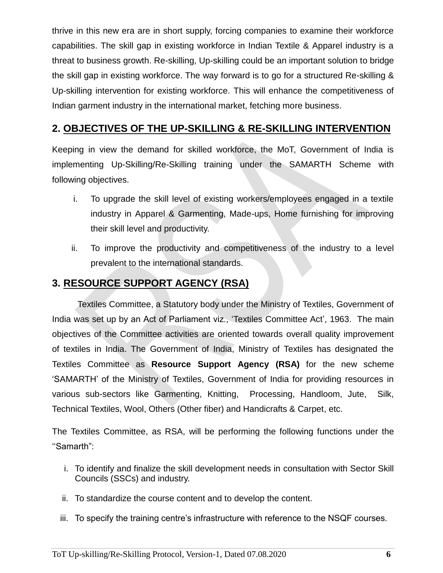thrive in this new era are in short supply, forcing companies to examine their workforce capabilities. The skill gap in existing workforce in Indian Textile & Apparel industry is a threat to business growth. Re-skilling, Up-skilling could be an important solution to bridge the skill gap in existing workforce. The way forward is to go for a structured Re-skilling & Up-skilling intervention for existing workforce. This will enhance the competitiveness of Indian garment industry in the international market, fetching more business.

## **2. OBJECTIVES OF THE UP-SKILLING & RE-SKILLING INTERVENTION**

Keeping in view the demand for skilled workforce, the MoT, Government of India is implementing Up-Skilling/Re-Skilling training under the SAMARTH Scheme with following objectives.

- i. To upgrade the skill level of existing workers/employees engaged in a textile industry in Apparel & Garmenting, Made-ups, Home furnishing for improving their skill level and productivity.
- ii. To improve the productivity and competitiveness of the industry to a level prevalent to the international standards.

## **3. RESOURCE SUPPORT AGENCY (RSA)**

Textiles Committee, a Statutory body under the Ministry of Textiles, Government of India was set up by an Act of Parliament viz., 'Textiles Committee Act', 1963. The main objectives of the Committee activities are oriented towards overall quality improvement of textiles in India. The Government of India, Ministry of Textiles has designated the Textiles Committee as **Resource Support Agency (RSA)** for the new scheme 'SAMARTH' of the Ministry of Textiles, Government of India for providing resources in various sub-sectors like Garmenting, Knitting, Processing, Handloom, Jute, Silk, Technical Textiles, Wool, Others (Other fiber) and Handicrafts & Carpet, etc.

The Textiles Committee, as RSA, will be performing the following functions under the ''Samarth":

- i. To identify and finalize the skill development needs in consultation with Sector Skill Councils (SSCs) and industry.
- ii. To standardize the course content and to develop the content.
- iii. To specify the training centre's infrastructure with reference to the NSQF courses.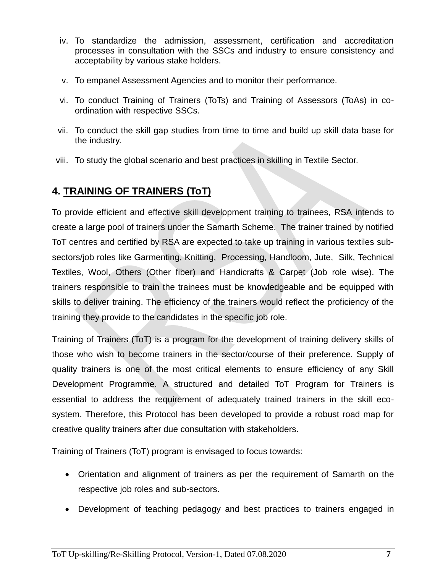- iv. To standardize the admission, assessment, certification and accreditation processes in consultation with the SSCs and industry to ensure consistency and acceptability by various stake holders.
- v. To empanel Assessment Agencies and to monitor their performance.
- vi. To conduct Training of Trainers (ToTs) and Training of Assessors (ToAs) in coordination with respective SSCs.
- vii. To conduct the skill gap studies from time to time and build up skill data base for the industry.
- viii. To study the global scenario and best practices in skilling in Textile Sector.

# **4. TRAINING OF TRAINERS (ToT)**

To provide efficient and effective skill development training to trainees, RSA intends to create a large pool of trainers under the Samarth Scheme. The trainer trained by notified ToT centres and certified by RSA are expected to take up training in various textiles subsectors/job roles like Garmenting, Knitting, Processing, Handloom, Jute, Silk, Technical Textiles, Wool, Others (Other fiber) and Handicrafts & Carpet (Job role wise). The trainers responsible to train the trainees must be knowledgeable and be equipped with skills to deliver training. The efficiency of the trainers would reflect the proficiency of the training they provide to the candidates in the specific job role.

Training of Trainers (ToT) is a program for the development of training delivery skills of those who wish to become trainers in the sector/course of their preference. Supply of quality trainers is one of the most critical elements to ensure efficiency of any Skill Development Programme. A structured and detailed ToT Program for Trainers is essential to address the requirement of adequately trained trainers in the skill ecosystem. Therefore, this Protocol has been developed to provide a robust road map for creative quality trainers after due consultation with stakeholders.

Training of Trainers (ToT) program is envisaged to focus towards:

- Orientation and alignment of trainers as per the requirement of Samarth on the respective job roles and sub-sectors.
- Development of teaching pedagogy and best practices to trainers engaged in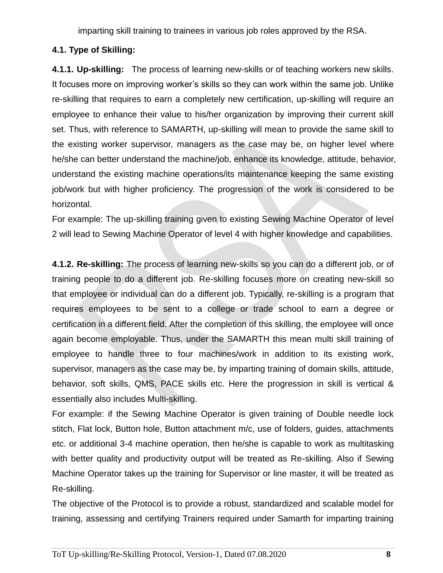imparting skill training to trainees in various job roles approved by the RSA.

## **4.1. Type of Skilling:**

**4.1.1. Up-skilling:** The process of learning new-skills or of teaching workers new skills. It focuses more on improving worker's skills so they can work within the same job. Unlike re-skilling that requires to earn a completely new certification, up-skilling will require an employee to enhance their value to his/her organization by improving their current skill set. Thus, with reference to SAMARTH, up-skilling will mean to provide the same skill to the existing worker supervisor, managers as the case may be, on higher level where he/she can better understand the machine/job, enhance its knowledge, attitude, behavior, understand the existing machine operations/its maintenance keeping the same existing job/work but with higher proficiency. The progression of the work is considered to be horizontal.

For example: The up-skilling training given to existing Sewing Machine Operator of level 2 will lead to Sewing Machine Operator of level 4 with higher knowledge and capabilities.

**4.1.2. Re-skilling:** The process of learning new-skills so you can do a different job, or of training people to do a different job. Re-skilling focuses more on creating new-skill so that employee or individual can do a different job. Typically, re-skilling is a program that requires employees to be sent to a college or trade school to earn a degree or certification in a different field. After the completion of this skilling, the employee will once again become employable. Thus, under the SAMARTH this mean multi skill training of employee to handle three to four machines/work in addition to its existing work, supervisor, managers as the case may be, by imparting training of domain skills, attitude, behavior, soft skills, QMS, PACE skills etc. Here the progression in skill is vertical & essentially also includes Multi-skilling.

For example: if the Sewing Machine Operator is given training of Double needle lock stitch, Flat lock, Button hole, Button attachment m/c, use of folders, guides, attachments etc. or additional 3-4 machine operation, then he/she is capable to work as multitasking with better quality and productivity output will be treated as Re-skilling. Also if Sewing Machine Operator takes up the training for Supervisor or line master, it will be treated as Re-skilling.

The objective of the Protocol is to provide a robust, standardized and scalable model for training, assessing and certifying Trainers required under Samarth for imparting training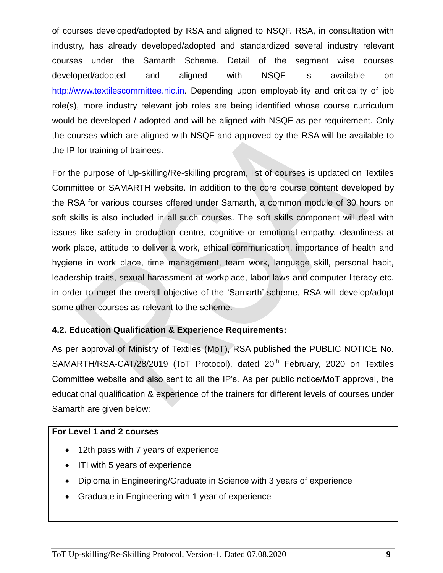of courses developed/adopted by RSA and aligned to NSQF. RSA, in consultation with industry, has already developed/adopted and standardized several industry relevant courses under the Samarth Scheme. Detail of the segment wise courses developed/adopted and aligned with NSQF is available on [http://www.textilescommittee.nic.in.](http://www.textilescommittee.nic.in/) Depending upon employability and criticality of job role(s), more industry relevant job roles are being identified whose course curriculum would be developed / adopted and will be aligned with NSQF as per requirement. Only the courses which are aligned with NSQF and approved by the RSA will be available to the IP for training of trainees.

For the purpose of Up-skilling/Re-skilling program, list of courses is updated on Textiles Committee or SAMARTH website. In addition to the core course content developed by the RSA for various courses offered under Samarth, a common module of 30 hours on soft skills is also included in all such courses. The soft skills component will deal with issues like safety in production centre, cognitive or emotional empathy, cleanliness at work place, attitude to deliver a work, ethical communication, importance of health and hygiene in work place, time management, team work, language skill, personal habit, leadership traits, sexual harassment at workplace, labor laws and computer literacy etc. in order to meet the overall objective of the 'Samarth' scheme, RSA will develop/adopt some other courses as relevant to the scheme.

## **4.2. Education Qualification & Experience Requirements:**

As per approval of Ministry of Textiles (MoT), RSA published the PUBLIC NOTICE No. SAMARTH/RSA-CAT/28/2019 (ToT Protocol), dated 20<sup>th</sup> February, 2020 on Textiles Committee website and also sent to all the IP's. As per public notice/MoT approval, the educational qualification & experience of the trainers for different levels of courses under Samarth are given below:

#### **For Level 1 and 2 courses**

- 12th pass with 7 years of experience
- ITI with 5 years of experience
- Diploma in Engineering/Graduate in Science with 3 years of experience
- Graduate in Engineering with 1 year of experience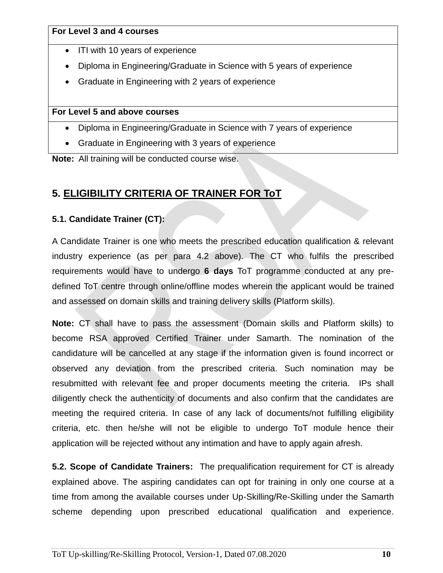- ITI with 10 years of experience
- Diploma in Engineering/Graduate in Science with 5 years of experience
- Graduate in Engineering with 2 years of experience

### **For Level 5 and above courses**

- Diploma in Engineering/Graduate in Science with 7 years of experience
- Graduate in Engineering with 3 years of experience

**Note:** All training will be conducted course wise.

# **5. ELIGIBILITY CRITERIA OF TRAINER FOR ToT**

## **5.1. Candidate Trainer (CT):**

A Candidate Trainer is one who meets the prescribed education qualification & relevant industry experience (as per para 4.2 above). The CT who fulfils the prescribed requirements would have to undergo **6 days** ToT programme conducted at any predefined ToT centre through online/offline modes wherein the applicant would be trained and assessed on domain skills and training delivery skills (Platform skills).

**Note:** CT shall have to pass the assessment (Domain skills and Platform skills) to become RSA approved Certified Trainer under Samarth. The nomination of the candidature will be cancelled at any stage if the information given is found incorrect or observed any deviation from the prescribed criteria. Such nomination may be resubmitted with relevant fee and proper documents meeting the criteria. IPs shall diligently check the authenticity of documents and also confirm that the candidates are meeting the required criteria. In case of any lack of documents/not fulfilling eligibility criteria, etc. then he/she will not be eligible to undergo ToT module hence their application will be rejected without any intimation and have to apply again afresh.

**5.2. Scope of Candidate Trainers:** The prequalification requirement for CT is already explained above. The aspiring candidates can opt for training in only one course at a time from among the available courses under Up-Skilling/Re-Skilling under the Samarth scheme depending upon prescribed educational qualification and experience.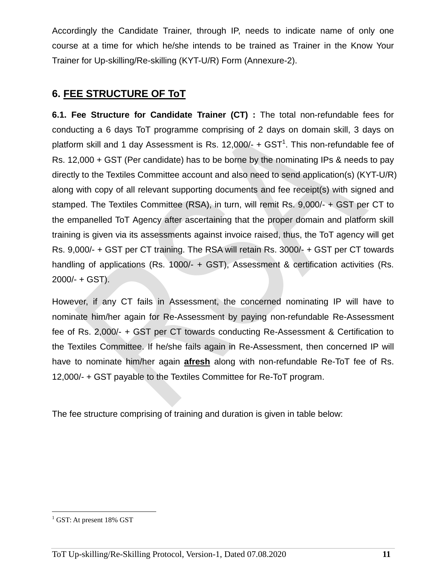Accordingly the Candidate Trainer, through IP, needs to indicate name of only one course at a time for which he/she intends to be trained as Trainer in the Know Your Trainer for Up-skilling/Re-skilling (KYT-U/R) Form (Annexure-2).

## **6. FEE STRUCTURE OF ToT**

**6.1. Fee Structure for Candidate Trainer (CT) :** The total non-refundable fees for conducting a 6 days ToT programme comprising of 2 days on domain skill, 3 days on platform skill and 1 day Assessment is Rs. 12,000/-  $+$  GST<sup>1</sup>. This non-refundable fee of Rs. 12,000 + GST (Per candidate) has to be borne by the nominating IPs & needs to pay directly to the Textiles Committee account and also need to send application(s) (KYT-U/R) along with copy of all relevant supporting documents and fee receipt(s) with signed and stamped. The Textiles Committee (RSA), in turn, will remit Rs. 9,000/- + GST per CT to the empanelled ToT Agency after ascertaining that the proper domain and platform skill training is given via its assessments against invoice raised, thus, the ToT agency will get Rs. 9,000/- + GST per CT training. The RSA will retain Rs. 3000/- + GST per CT towards handling of applications (Rs. 1000/- + GST), Assessment & certification activities (Rs. 2000/- + GST).

However, if any CT fails in Assessment, the concerned nominating IP will have to nominate him/her again for Re-Assessment by paying non-refundable Re-Assessment fee of Rs. 2,000/- + GST per CT towards conducting Re-Assessment & Certification to the Textiles Committee. If he/she fails again in Re-Assessment, then concerned IP will have to nominate him/her again **afresh** along with non-refundable Re-ToT fee of Rs. 12,000/- + GST payable to the Textiles Committee for Re-ToT program.

The fee structure comprising of training and duration is given in table below:

 $\overline{a}$ 

 $^{1}$  GST: At present 18% GST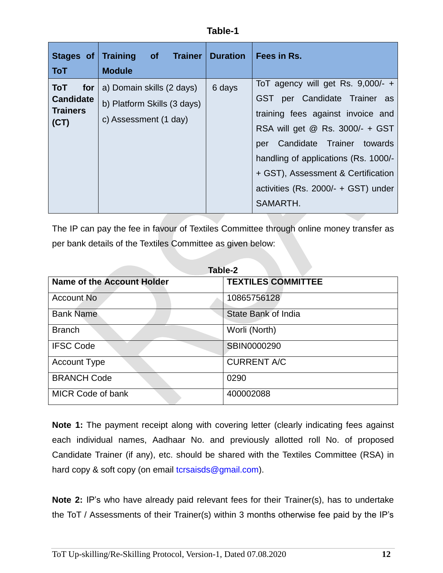| Stages of<br><b>ToT</b>                                   | of Trainer   Duration<br><b>Training</b><br><b>Module</b>                         |        | Fees in Rs.                                                                                                                                                                                                                                                                                                                  |
|-----------------------------------------------------------|-----------------------------------------------------------------------------------|--------|------------------------------------------------------------------------------------------------------------------------------------------------------------------------------------------------------------------------------------------------------------------------------------------------------------------------------|
| ToT<br>for<br><b>Candidate</b><br><b>Trainers</b><br>(CT) | a) Domain skills (2 days)<br>b) Platform Skills (3 days)<br>c) Assessment (1 day) | 6 days | To T agency will get Rs. $9,000/ - +$<br>per Candidate Trainer as<br><b>GST</b><br>training fees against invoice and<br>RSA will get @ Rs. 3000/- + GST<br>Candidate Trainer towards<br>per<br>handling of applications (Rs. 1000/-<br>+ GST), Assessment & Certification<br>activities (Rs. 2000/- + GST) under<br>SAMARTH. |

The IP can pay the fee in favour of Textiles Committee through online money transfer as per bank details of the Textiles Committee as given below:

| Table-2                           |                           |  |  |
|-----------------------------------|---------------------------|--|--|
| <b>Name of the Account Holder</b> | <b>TEXTILES COMMITTEE</b> |  |  |
| Account No                        | 10865756128               |  |  |
| <b>Bank Name</b>                  | State Bank of India       |  |  |
| <b>Branch</b>                     | Worli (North)             |  |  |
| <b>IFSC Code</b>                  | <b>SBIN0000290</b>        |  |  |
| <b>Account Type</b>               | <b>CURRENT A/C</b>        |  |  |
| <b>BRANCH Code</b>                | 0290                      |  |  |
| <b>MICR Code of bank</b>          | 400002088                 |  |  |

**Note 1:** The payment receipt along with covering letter (clearly indicating fees against each individual names, Aadhaar No. and previously allotted roll No. of proposed Candidate Trainer (if any), etc. should be shared with the Textiles Committee (RSA) in hard copy & soft copy (on email [tcrsaisds@gmail.com\)](mailto:tcrsaisds@gmail.com).

**Note 2:** IP's who have already paid relevant fees for their Trainer(s), has to undertake the ToT / Assessments of their Trainer(s) within 3 months otherwise fee paid by the IP's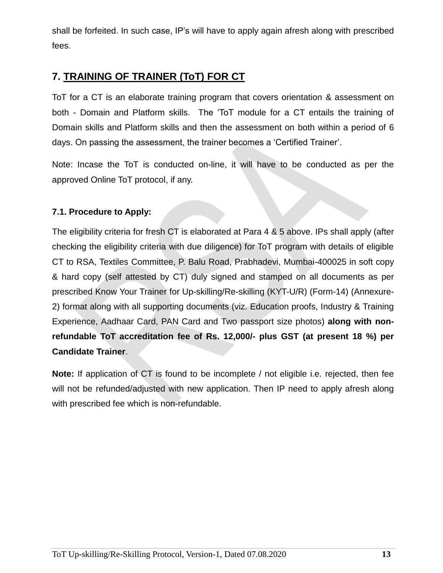shall be forfeited. In such case, IP's will have to apply again afresh along with prescribed fees.

# **7. TRAINING OF TRAINER (ToT) FOR CT**

ToT for a CT is an elaborate training program that covers orientation & assessment on both - Domain and Platform skills. The 'ToT module for a CT entails the training of Domain skills and Platform skills and then the assessment on both within a period of 6 days. On passing the assessment, the trainer becomes a 'Certified Trainer'.

Note: Incase the ToT is conducted on-line, it will have to be conducted as per the approved Online ToT protocol, if any.

## **7.1. Procedure to Apply:**

The eligibility criteria for fresh CT is elaborated at Para 4 & 5 above. IPs shall apply (after checking the eligibility criteria with due diligence) for ToT program with details of eligible CT to RSA, Textiles Committee, P. Balu Road, Prabhadevi, Mumbai-400025 in soft copy & hard copy (self attested by CT) duly signed and stamped on all documents as per prescribed Know Your Trainer for Up-skilling/Re-skilling (KYT-U/R) (Form-14) (Annexure-2) format along with all supporting documents (viz. Education proofs, Industry & Training Experience, Aadhaar Card, PAN Card and Two passport size photos) **along with nonrefundable ToT accreditation fee of Rs. 12,000/- plus GST (at present 18 %) per Candidate Trainer**.

**Note:** If application of CT is found to be incomplete / not eligible i.e. rejected, then fee will not be refunded/adjusted with new application. Then IP need to apply afresh along with prescribed fee which is non-refundable.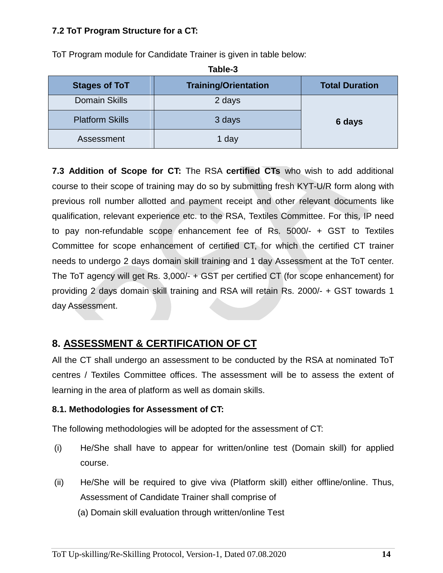### **7.2 ToT Program Structure for a CT:**

ToT Program module for Candidate Trainer is given in table below:

| <b>Stages of ToT</b>   | <b>Training/Orientation</b> | <b>Total Duration</b> |
|------------------------|-----------------------------|-----------------------|
| <b>Domain Skills</b>   | 2 days                      |                       |
| <b>Platform Skills</b> | 3 days                      | 6 days                |
| Assessment             | 1 day                       |                       |

**Table-3**

**7.3 Addition of Scope for CT:** The RSA **certified CTs** who wish to add additional course to their scope of training may do so by submitting fresh KYT-U/R form along with previous roll number allotted and payment receipt and other relevant documents like qualification, relevant experience etc. to the RSA, Textiles Committee. For this, IP need to pay non-refundable scope enhancement fee of Rs. 5000/- + GST to Textiles Committee for scope enhancement of certified CT, for which the certified CT trainer needs to undergo 2 days domain skill training and 1 day Assessment at the ToT center. The ToT agency will get Rs. 3,000/- + GST per certified CT (for scope enhancement) for providing 2 days domain skill training and RSA will retain Rs. 2000/- + GST towards 1 day Assessment.

# **8. ASSESSMENT & CERTIFICATION OF CT**

All the CT shall undergo an assessment to be conducted by the RSA at nominated ToT centres / Textiles Committee offices. The assessment will be to assess the extent of learning in the area of platform as well as domain skills.

#### **8.1. Methodologies for Assessment of CT:**

The following methodologies will be adopted for the assessment of CT:

- (i) He/She shall have to appear for written/online test (Domain skill) for applied course.
- (ii) He/She will be required to give viva (Platform skill) either offline/online. Thus, Assessment of Candidate Trainer shall comprise of
	- (a) Domain skill evaluation through written/online Test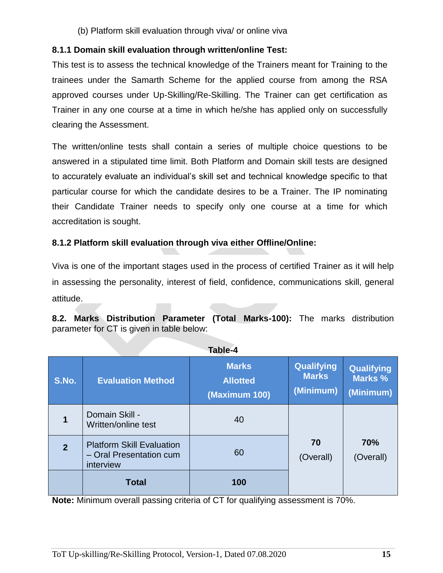(b) Platform skill evaluation through viva/ or online viva

### **8.1.1 Domain skill evaluation through written/online Test:**

This test is to assess the technical knowledge of the Trainers meant for Training to the trainees under the Samarth Scheme for the applied course from among the RSA approved courses under Up-Skilling/Re-Skilling. The Trainer can get certification as Trainer in any one course at a time in which he/she has applied only on successfully clearing the Assessment.

The written/online tests shall contain a series of multiple choice questions to be answered in a stipulated time limit. Both Platform and Domain skill tests are designed to accurately evaluate an individual's skill set and technical knowledge specific to that particular course for which the candidate desires to be a Trainer. The IP nominating their Candidate Trainer needs to specify only one course at a time for which accreditation is sought.

## **8.1.2 Platform skill evaluation through viva either Offline/Online:**

Viva is one of the important stages used in the process of certified Trainer as it will help in assessing the personality, interest of field, confidence, communications skill, general attitude.

**8.2. Marks Distribution Parameter (Total Marks-100):** The marks distribution parameter for CT is given in table below:

| 19NIC-4        |                                                                          |                                                  |                                                |                                           |  |
|----------------|--------------------------------------------------------------------------|--------------------------------------------------|------------------------------------------------|-------------------------------------------|--|
| S.No.          | <b>Evaluation Method</b>                                                 | <b>Marks</b><br><b>Allotted</b><br>(Maximum 100) | <b>Qualifying</b><br><b>Marks</b><br>(Minimum) | <b>Qualifying</b><br>Marks %<br>(Minimum) |  |
| 1              | Domain Skill -<br>Written/online test                                    | 40                                               |                                                |                                           |  |
| $\overline{2}$ | <b>Platform Skill Evaluation</b><br>- Oral Presentation cum<br>interview | 60                                               | 70<br>(Overall)                                | 70%<br>(Overall)                          |  |
|                | <b>Total</b>                                                             | 100                                              |                                                |                                           |  |

**Table-4**

**Note:** Minimum overall passing criteria of CT for qualifying assessment is 70%.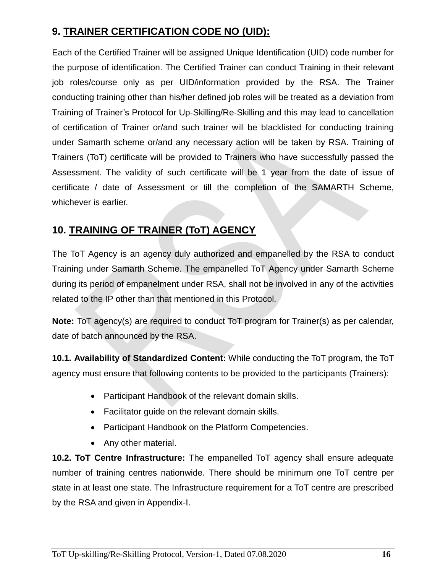# **9. TRAINER CERTIFICATION CODE NO (UID):**

Each of the Certified Trainer will be assigned Unique Identification (UID) code number for the purpose of identification. The Certified Trainer can conduct Training in their relevant job roles/course only as per UID/information provided by the RSA. The Trainer conducting training other than his/her defined job roles will be treated as a deviation from Training of Trainer's Protocol for Up-Skilling/Re-Skilling and this may lead to cancellation of certification of Trainer or/and such trainer will be blacklisted for conducting training under Samarth scheme or/and any necessary action will be taken by RSA. Training of Trainers (ToT) certificate will be provided to Trainers who have successfully passed the Assessment. The validity of such certificate will be 1 year from the date of issue of certificate / date of Assessment or till the completion of the SAMARTH Scheme, whichever is earlier.

# **10. TRAINING OF TRAINER (ToT) AGENCY**

The ToT Agency is an agency duly authorized and empanelled by the RSA to conduct Training under Samarth Scheme. The empanelled ToT Agency under Samarth Scheme during its period of empanelment under RSA, shall not be involved in any of the activities related to the IP other than that mentioned in this Protocol.

**Note:** ToT agency(s) are required to conduct ToT program for Trainer(s) as per calendar, date of batch announced by the RSA.

**10.1. Availability of Standardized Content:** While conducting the ToT program, the ToT agency must ensure that following contents to be provided to the participants (Trainers):

- Participant Handbook of the relevant domain skills.
- Facilitator guide on the relevant domain skills.
- Participant Handbook on the Platform Competencies.
- Any other material.

**10.2. ToT Centre Infrastructure:** The empanelled ToT agency shall ensure adequate number of training centres nationwide. There should be minimum one ToT centre per state in at least one state. The Infrastructure requirement for a ToT centre are prescribed by the RSA and given in Appendix-I.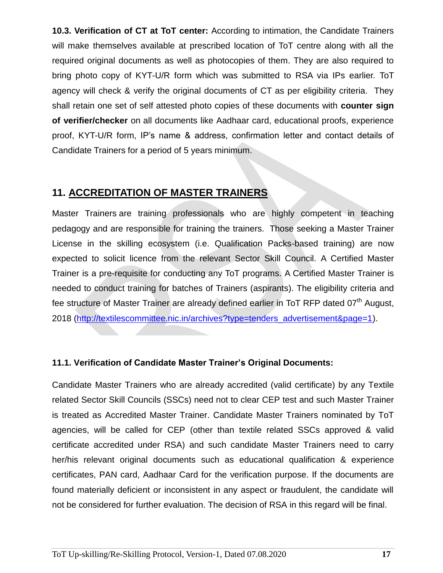**10.3. Verification of CT at ToT center:** According to intimation, the Candidate Trainers will make themselves available at prescribed location of ToT centre along with all the required original documents as well as photocopies of them. They are also required to bring photo copy of KYT-U/R form which was submitted to RSA via IPs earlier. ToT agency will check & verify the original documents of CT as per eligibility criteria. They shall retain one set of self attested photo copies of these documents with **counter sign of verifier/checker** on all documents like Aadhaar card, educational proofs, experience proof, KYT-U/R form, IP's name & address, confirmation letter and contact details of Candidate Trainers for a period of 5 years minimum.

## **11. ACCREDITATION OF MASTER TRAINERS**

Master Trainers are training professionals who are highly competent in teaching pedagogy and are responsible for training the trainers. Those seeking a Master Trainer License in the skilling ecosystem (i.e. Qualification Packs-based training) are now expected to solicit licence from the relevant Sector Skill Council. A Certified Master Trainer is a pre-requisite for conducting any ToT programs. A Certified Master Trainer is needed to conduct training for batches of Trainers (aspirants). The eligibility criteria and fee structure of Master Trainer are already defined earlier in ToT RFP dated  $07<sup>th</sup>$  August, 2018 [\(http://textilescommittee.nic.in/archives?type=tenders\\_advertisement&page=1\)](http://textilescommittee.nic.in/archives?type=tenders_advertisement&page=1).

## **11.1. Verification of Candidate Master Trainer's Original Documents:**

Candidate Master Trainers who are already accredited (valid certificate) by any Textile related Sector Skill Councils (SSCs) need not to clear CEP test and such Master Trainer is treated as Accredited Master Trainer. Candidate Master Trainers nominated by ToT agencies, will be called for CEP (other than textile related SSCs approved & valid certificate accredited under RSA) and such candidate Master Trainers need to carry her/his relevant original documents such as educational qualification & experience certificates, PAN card, Aadhaar Card for the verification purpose. If the documents are found materially deficient or inconsistent in any aspect or fraudulent, the candidate will not be considered for further evaluation. The decision of RSA in this regard will be final.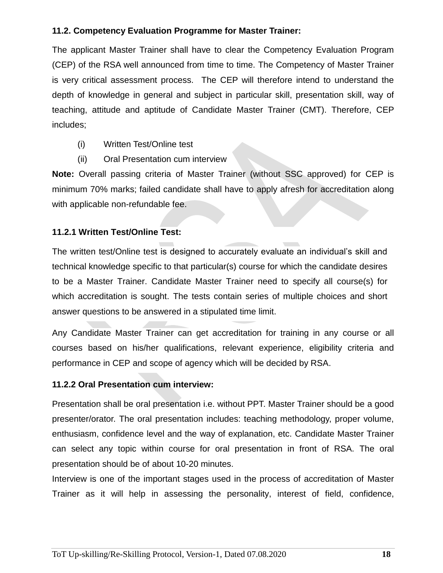#### **11.2. Competency Evaluation Programme for Master Trainer:**

The applicant Master Trainer shall have to clear the Competency Evaluation Program (CEP) of the RSA well announced from time to time. The Competency of Master Trainer is very critical assessment process. The CEP will therefore intend to understand the depth of knowledge in general and subject in particular skill, presentation skill, way of teaching, attitude and aptitude of Candidate Master Trainer (CMT). Therefore, CEP includes;

- (i) Written Test/Online test
- (ii) Oral Presentation cum interview

**Note:** Overall passing criteria of Master Trainer (without SSC approved) for CEP is minimum 70% marks; failed candidate shall have to apply afresh for accreditation along with applicable non-refundable fee.

#### **11.2.1 Written Test/Online Test:**

The written test/Online test is designed to accurately evaluate an individual's skill and technical knowledge specific to that particular(s) course for which the candidate desires to be a Master Trainer. Candidate Master Trainer need to specify all course(s) for which accreditation is sought. The tests contain series of multiple choices and short answer questions to be answered in a stipulated time limit.

Any Candidate Master Trainer can get accreditation for training in any course or all courses based on his/her qualifications, relevant experience, eligibility criteria and performance in CEP and scope of agency which will be decided by RSA.

#### **11.2.2 Oral Presentation cum interview:**

Presentation shall be oral presentation i.e. without PPT. Master Trainer should be a good presenter/orator. The oral presentation includes: teaching methodology, proper volume, enthusiasm, confidence level and the way of explanation, etc. Candidate Master Trainer can select any topic within course for oral presentation in front of RSA. The oral presentation should be of about 10-20 minutes.

Interview is one of the important stages used in the process of accreditation of Master Trainer as it will help in assessing the personality, interest of field, confidence,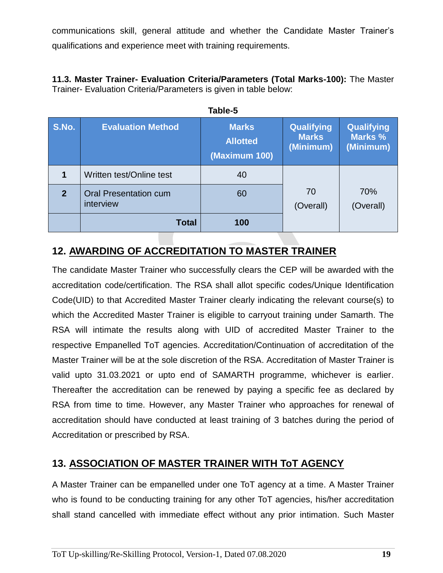communications skill, general attitude and whether the Candidate Master Trainer's qualifications and experience meet with training requirements.

**11.3. Master Trainer- Evaluation Criteria/Parameters (Total Marks-100):** The Master Trainer- Evaluation Criteria/Parameters is given in table below:

| Table-5     |                                           |                                                  |                                         |                                           |
|-------------|-------------------------------------------|--------------------------------------------------|-----------------------------------------|-------------------------------------------|
| S.No.       | <b>Evaluation Method</b>                  | <b>Marks</b><br><b>Allotted</b><br>(Maximum 100) | Qualifying<br><b>Marks</b><br>(Minimum) | <b>Qualifying</b><br>Marks %<br>(Minimum) |
|             | Written test/Online test                  | 40                                               |                                         |                                           |
| $\mathbf 2$ | <b>Oral Presentation cum</b><br>interview | 60                                               | 70<br>(Overall)                         | 70%<br>(Overall)                          |
|             | <b>Total</b>                              | 100                                              |                                         |                                           |

# **12. AWARDING OF ACCREDITATION TO MASTER TRAINER**

The candidate Master Trainer who successfully clears the CEP will be awarded with the accreditation code/certification. The RSA shall allot specific codes/Unique Identification Code(UID) to that Accredited Master Trainer clearly indicating the relevant course(s) to which the Accredited Master Trainer is eligible to carryout training under Samarth. The RSA will intimate the results along with UID of accredited Master Trainer to the respective Empanelled ToT agencies. Accreditation/Continuation of accreditation of the Master Trainer will be at the sole discretion of the RSA. Accreditation of Master Trainer is valid upto 31.03.2021 or upto end of SAMARTH programme, whichever is earlier. Thereafter the accreditation can be renewed by paying a specific fee as declared by RSA from time to time. However, any Master Trainer who approaches for renewal of accreditation should have conducted at least training of 3 batches during the period of Accreditation or prescribed by RSA.

# **13. ASSOCIATION OF MASTER TRAINER WITH ToT AGENCY**

A Master Trainer can be empanelled under one ToT agency at a time. A Master Trainer who is found to be conducting training for any other ToT agencies, his/her accreditation shall stand cancelled with immediate effect without any prior intimation. Such Master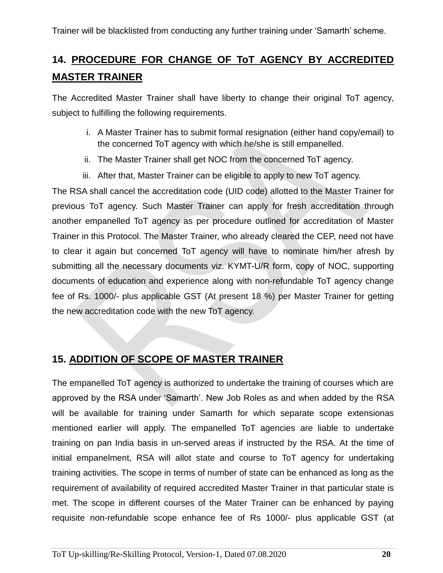# **14. PROCEDURE FOR CHANGE OF ToT AGENCY BY ACCREDITED MASTER TRAINER**

The Accredited Master Trainer shall have liberty to change their original ToT agency, subject to fulfilling the following requirements.

- i. A Master Trainer has to submit formal resignation (either hand copy/email) to the concerned ToT agency with which he/she is still empanelled.
- ii. The Master Trainer shall get NOC from the concerned ToT agency.
- iii. After that, Master Trainer can be eligible to apply to new ToT agency.

The RSA shall cancel the accreditation code (UID code) allotted to the Master Trainer for previous ToT agency. Such Master Trainer can apply for fresh accreditation through another empanelled ToT agency as per procedure outlined for accreditation of Master Trainer in this Protocol. The Master Trainer, who already cleared the CEP, need not have to clear it again but concerned ToT agency will have to nominate him/her afresh by submitting all the necessary documents viz. KYMT-U/R form, copy of NOC, supporting documents of education and experience along with non-refundable ToT agency change fee of Rs. 1000/- plus applicable GST (At present 18 %) per Master Trainer for getting the new accreditation code with the new ToT agency.

# **15. ADDITION OF SCOPE OF MASTER TRAINER**

The empanelled ToT agency is authorized to undertake the training of courses which are approved by the RSA under 'Samarth'. New Job Roles as and when added by the RSA will be available for training under Samarth for which separate scope extensionas mentioned earlier will apply. The empanelled ToT agencies are liable to undertake training on pan India basis in un-served areas if instructed by the RSA. At the time of initial empanelment, RSA will allot state and course to ToT agency for undertaking training activities. The scope in terms of number of state can be enhanced as long as the requirement of availability of required accredited Master Trainer in that particular state is met. The scope in different courses of the Mater Trainer can be enhanced by paying requisite non-refundable scope enhance fee of Rs 1000/- plus applicable GST (at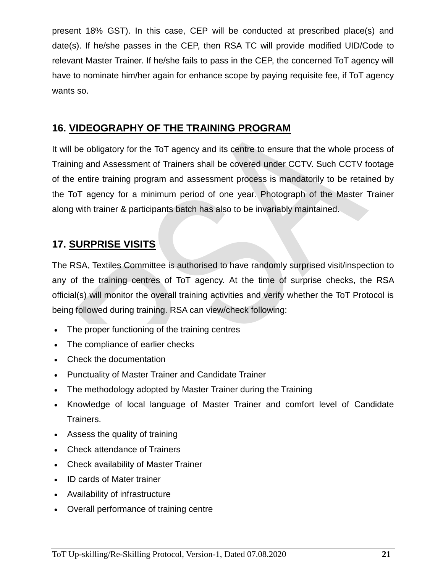present 18% GST). In this case, CEP will be conducted at prescribed place(s) and date(s). If he/she passes in the CEP, then RSA TC will provide modified UID/Code to relevant Master Trainer. If he/she fails to pass in the CEP, the concerned ToT agency will have to nominate him/her again for enhance scope by paying requisite fee, if ToT agency wants so.

# **16. VIDEOGRAPHY OF THE TRAINING PROGRAM**

It will be obligatory for the ToT agency and its centre to ensure that the whole process of Training and Assessment of Trainers shall be covered under CCTV. Such CCTV footage of the entire training program and assessment process is mandatorily to be retained by the ToT agency for a minimum period of one year. Photograph of the Master Trainer along with trainer & participants batch has also to be invariably maintained.

# **17. SURPRISE VISITS**

The RSA, Textiles Committee is authorised to have randomly surprised visit/inspection to any of the training centres of ToT agency. At the time of surprise checks, the RSA official(s) will monitor the overall training activities and verify whether the ToT Protocol is being followed during training. RSA can view/check following:

- The proper functioning of the training centres
- The compliance of earlier checks
- Check the documentation
- Punctuality of Master Trainer and Candidate Trainer
- The methodology adopted by Master Trainer during the Training
- Knowledge of local language of Master Trainer and comfort level of Candidate Trainers.
- Assess the quality of training
- Check attendance of Trainers
- Check availability of Master Trainer
- ID cards of Mater trainer
- Availability of infrastructure
- Overall performance of training centre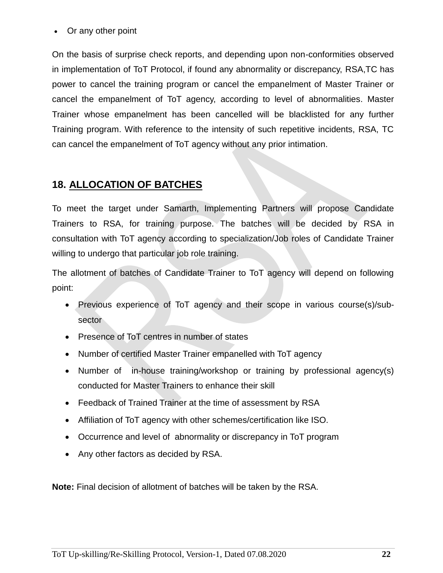#### • Or any other point

On the basis of surprise check reports, and depending upon non-conformities observed in implementation of ToT Protocol, if found any abnormality or discrepancy, RSA,TC has power to cancel the training program or cancel the empanelment of Master Trainer or cancel the empanelment of ToT agency, according to level of abnormalities. Master Trainer whose empanelment has been cancelled will be blacklisted for any further Training program. With reference to the intensity of such repetitive incidents, RSA, TC can cancel the empanelment of ToT agency without any prior intimation.

## **18. ALLOCATION OF BATCHES**

To meet the target under Samarth, Implementing Partners will propose Candidate Trainers to RSA, for training purpose. The batches will be decided by RSA in consultation with ToT agency according to specialization/Job roles of Candidate Trainer willing to undergo that particular job role training.

The allotment of batches of Candidate Trainer to ToT agency will depend on following point:

- Previous experience of ToT agency and their scope in various course(s)/subsector
- Presence of ToT centres in number of states
- Number of certified Master Trainer empanelled with ToT agency
- Number of in-house training/workshop or training by professional agency(s) conducted for Master Trainers to enhance their skill
- Feedback of Trained Trainer at the time of assessment by RSA
- Affiliation of ToT agency with other schemes/certification like ISO.
- Occurrence and level of abnormality or discrepancy in ToT program
- Any other factors as decided by RSA.

**Note:** Final decision of allotment of batches will be taken by the RSA.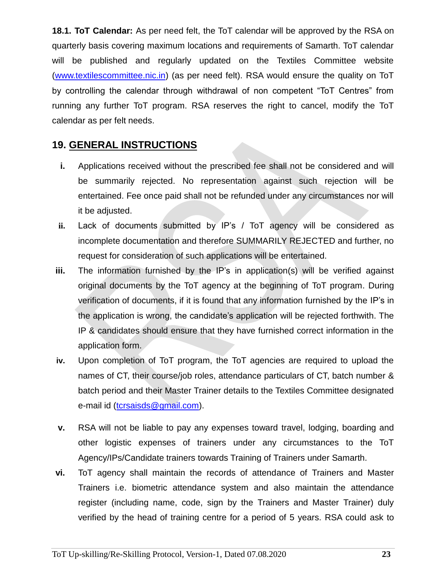**18.1. ToT Calendar:** As per need felt, the ToT calendar will be approved by the RSA on quarterly basis covering maximum locations and requirements of Samarth. ToT calendar will be published and regularly updated on the Textiles Committee website [\(www.textilescommittee.nic.in\)](http://www.textilescommittee.nic.in/) (as per need felt). RSA would ensure the quality on ToT by controlling the calendar through withdrawal of non competent "ToT Centres" from running any further ToT program. RSA reserves the right to cancel, modify the ToT calendar as per felt needs.

## **19. GENERAL INSTRUCTIONS**

- **i.** Applications received without the prescribed fee shall not be considered and will be summarily rejected. No representation against such rejection will be entertained. Fee once paid shall not be refunded under any circumstances nor will it be adjusted.
- **ii.** Lack of documents submitted by IP's / ToT agency will be considered as incomplete documentation and therefore SUMMARILY REJECTED and further, no request for consideration of such applications will be entertained.
- **iii.** The information furnished by the IP's in application(s) will be verified against original documents by the ToT agency at the beginning of ToT program. During verification of documents, if it is found that any information furnished by the IP's in the application is wrong, the candidate's application will be rejected forthwith. The IP & candidates should ensure that they have furnished correct information in the application form.
- **iv.** Upon completion of ToT program, the ToT agencies are required to upload the names of CT, their course/job roles, attendance particulars of CT, batch number & batch period and their Master Trainer details to the Textiles Committee designated e-mail id [\(tcrsaisds@gmail.com\)](mailto:tcrsaisds@gmail.com).
- **v.** RSA will not be liable to pay any expenses toward travel, lodging, boarding and other logistic expenses of trainers under any circumstances to the ToT Agency/IPs/Candidate trainers towards Training of Trainers under Samarth.
- **vi.** ToT agency shall maintain the records of attendance of Trainers and Master Trainers i.e. biometric attendance system and also maintain the attendance register (including name, code, sign by the Trainers and Master Trainer) duly verified by the head of training centre for a period of 5 years. RSA could ask to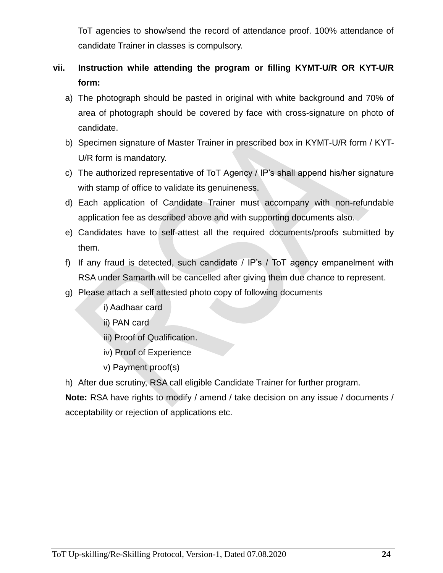ToT agencies to show/send the record of attendance proof. 100% attendance of candidate Trainer in classes is compulsory.

# **vii. Instruction while attending the program or filling KYMT-U/R OR KYT-U/R form:**

- a) The photograph should be pasted in original with white background and 70% of area of photograph should be covered by face with cross-signature on photo of candidate.
- b) Specimen signature of Master Trainer in prescribed box in KYMT-U/R form / KYT-U/R form is mandatory.
- c) The authorized representative of ToT Agency / IP's shall append his/her signature with stamp of office to validate its genuineness.
- d) Each application of Candidate Trainer must accompany with non-refundable application fee as described above and with supporting documents also.
- e) Candidates have to self-attest all the required documents/proofs submitted by them.
- f) If any fraud is detected, such candidate / IP's / ToT agency empanelment with RSA under Samarth will be cancelled after giving them due chance to represent.
- g) Please attach a self attested photo copy of following documents
	- i) Aadhaar card
	- ii) PAN card
	- iii) Proof of Qualification.
	- iv) Proof of Experience
	- v) Payment proof(s)

h) After due scrutiny, RSA call eligible Candidate Trainer for further program.

**Note:** RSA have rights to modify / amend / take decision on any issue / documents / acceptability or rejection of applications etc.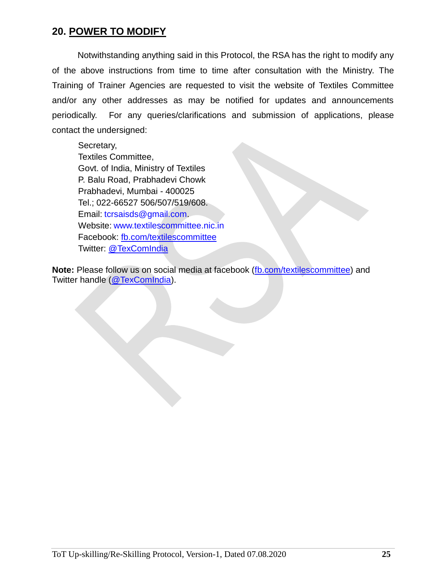## **20. POWER TO MODIFY**

Notwithstanding anything said in this Protocol, the RSA has the right to modify any of the above instructions from time to time after consultation with the Ministry. The Training of Trainer Agencies are requested to visit the website of Textiles Committee and/or any other addresses as may be notified for updates and announcements periodically. For any queries/clarifications and submission of applications, please contact the undersigned:

Secretary, Textiles Committee, Govt. of India, Ministry of Textiles P. Balu Road, Prabhadevi Chowk Prabhadevi, Mumbai - 400025 Tel.; 022-66527 506/507/519/608. Email: [tcrsaisds@gmail.com.](mailto:tcrsaisds@gmail.com) Website: [www.textilescommittee.nic.in](http://www.textilescommittee.nic.in/) Facebook: [fb.com/textilescommittee](http://fb.com/) Twitter: @TexComIndia

**Note:** Please follow us on social media at facebook [\(fb.com/textilescommittee\)](http://fb.com/) and Twitter handle (@TexComIndia).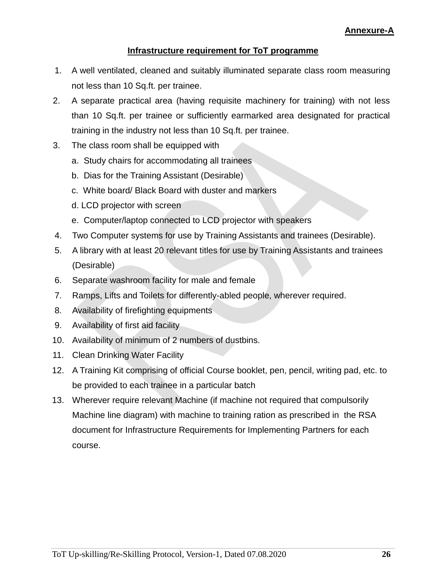#### **Infrastructure requirement for ToT programme**

- 1. A well ventilated, cleaned and suitably illuminated separate class room measuring not less than 10 Sq.ft. per trainee.
- 2. A separate practical area (having requisite machinery for training) with not less than 10 Sq.ft. per trainee or sufficiently earmarked area designated for practical training in the industry not less than 10 Sq.ft. per trainee.
- 3. The class room shall be equipped with
	- a. Study chairs for accommodating all trainees
	- b. Dias for the Training Assistant (Desirable)
	- c. White board/ Black Board with duster and markers
	- d. LCD projector with screen
	- e. Computer/laptop connected to LCD projector with speakers
- 4. Two Computer systems for use by Training Assistants and trainees (Desirable).
- 5. A library with at least 20 relevant titles for use by Training Assistants and trainees (Desirable)
- 6. Separate washroom facility for male and female
- 7. Ramps, Lifts and Toilets for differently-abled people, wherever required.
- 8. Availability of firefighting equipments
- 9. Availability of first aid facility
- 10. Availability of minimum of 2 numbers of dustbins.
- 11. Clean Drinking Water Facility
- 12. A Training Kit comprising of official Course booklet, pen, pencil, writing pad, etc. to be provided to each trainee in a particular batch
- 13. Wherever require relevant Machine (if machine not required that compulsorily Machine line diagram) with machine to training ration as prescribed in the RSA document for Infrastructure Requirements for Implementing Partners for each course.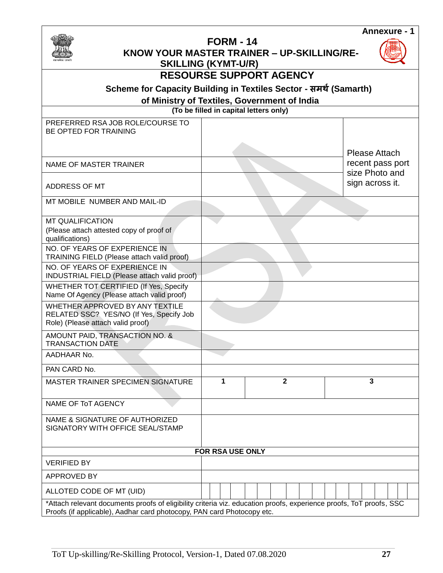

## **FORM - 14**

 **KNOW YOUR MASTER TRAINER – UP-SKILLING/RE-**



| सत्यमेव जयते                                                                                                                                                                                  | <b>SKILLING (KYMT-U/R)</b> |                                              |                                    |
|-----------------------------------------------------------------------------------------------------------------------------------------------------------------------------------------------|----------------------------|----------------------------------------------|------------------------------------|
|                                                                                                                                                                                               |                            | <b>RESOURSE SUPPORT AGENCY</b>               |                                    |
| Scheme for Capacity Building in Textiles Sector - समर्थ (Samarth)                                                                                                                             |                            |                                              |                                    |
|                                                                                                                                                                                               |                            | of Ministry of Textiles, Government of India |                                    |
|                                                                                                                                                                                               |                            | (To be filled in capital letters only)       |                                    |
| PREFERRED RSA JOB ROLE/COURSE TO<br>BE OPTED FOR TRAINING                                                                                                                                     |                            |                                              | <b>Please Attach</b>               |
| <b>NAME OF MASTER TRAINER</b>                                                                                                                                                                 |                            |                                              | recent pass port<br>size Photo and |
| ADDRESS OF MT                                                                                                                                                                                 |                            |                                              | sign across it.                    |
| MT MOBILE NUMBER AND MAIL-ID                                                                                                                                                                  |                            |                                              |                                    |
| <b>MT QUALIFICATION</b><br>(Please attach attested copy of proof of<br>qualifications)                                                                                                        |                            |                                              |                                    |
| NO. OF YEARS OF EXPERIENCE IN<br>TRAINING FIELD (Please attach valid proof)                                                                                                                   |                            |                                              |                                    |
| NO. OF YEARS OF EXPERIENCE IN<br>INDUSTRIAL FIELD (Please attach valid proof)                                                                                                                 |                            |                                              |                                    |
| WHETHER TOT CERTIFIED (If Yes, Specify<br>Name Of Agency (Please attach valid proof)                                                                                                          |                            |                                              |                                    |
| WHETHER APPROVED BY ANY TEXTILE<br>RELATED SSC? YES/NO (If Yes, Specify Job<br>Role) (Please attach valid proof)                                                                              |                            |                                              |                                    |
| AMOUNT PAID, TRANSACTION NO. &<br><b>TRANSACTION DATE</b>                                                                                                                                     |                            |                                              |                                    |
| AADHAAR No.                                                                                                                                                                                   |                            |                                              |                                    |
| PAN CARD No.                                                                                                                                                                                  |                            |                                              |                                    |
| MASTER TRAINER SPECIMEN SIGNATURE                                                                                                                                                             | 1                          | 2                                            | 3                                  |
| <b>NAME OF ToT AGENCY</b>                                                                                                                                                                     |                            |                                              |                                    |
| NAME & SIGNATURE OF AUTHORIZED<br>SIGNATORY WITH OFFICE SEAL/STAMP                                                                                                                            |                            |                                              |                                    |
|                                                                                                                                                                                               | <b>FOR RSA USE ONLY</b>    |                                              |                                    |
| <b>VERIFIED BY</b>                                                                                                                                                                            |                            |                                              |                                    |
| APPROVED BY                                                                                                                                                                                   |                            |                                              |                                    |
| ALLOTED CODE OF MT (UID)                                                                                                                                                                      |                            |                                              |                                    |
| *Attach relevant documents proofs of eligibility criteria viz. education proofs, experience proofs, ToT proofs, SSC<br>Proofs (if applicable), Aadhar card photocopy, PAN card Photocopy etc. |                            |                                              |                                    |